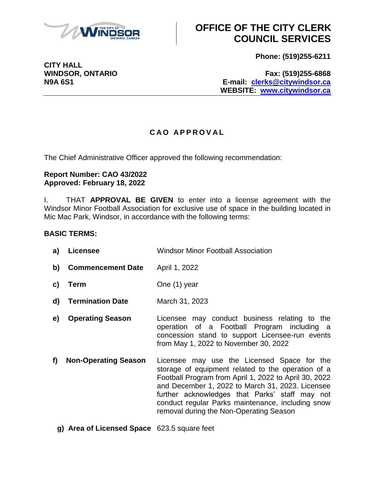

**CITY HALL**

# **OFFICE OF THE CITY CLERK COUNCIL SERVICES**

**Phone: (519)255-6211**

**WINDSOR, ONTARIO Fax: (519)255-6868 N9A 6S1 E-mail: [clerks@citywindsor.ca](mailto:clerks@citywindsor.ca) WEBSITE: [www.citywindsor.ca](http://www.citywindsor.ca/)**

### **C A O A P P R O V A L**

The Chief Administrative Officer approved the following recommendation:

#### **Report Number: CAO 43/2022 Approved: February 18, 2022**

I. THAT **APPROVAL BE GIVEN** to enter into a license agreement with the Windsor Minor Football Association for exclusive use of space in the building located in Mic Mac Park, Windsor, in accordance with the following terms:

### **BASIC TERMS:**

| a) | <b>Licensee</b>             | <b>Windsor Minor Football Association</b>                                                                                                                                                                                                                                                                                                                        |
|----|-----------------------------|------------------------------------------------------------------------------------------------------------------------------------------------------------------------------------------------------------------------------------------------------------------------------------------------------------------------------------------------------------------|
| b) | <b>Commencement Date</b>    | April 1, 2022                                                                                                                                                                                                                                                                                                                                                    |
| C) | Term                        | One (1) year                                                                                                                                                                                                                                                                                                                                                     |
| d) | <b>Termination Date</b>     | March 31, 2023                                                                                                                                                                                                                                                                                                                                                   |
| e) | <b>Operating Season</b>     | Licensee may conduct business relating to the<br>operation of a Football Program including a<br>concession stand to support Licensee-run events<br>from May 1, 2022 to November 30, 2022                                                                                                                                                                         |
| f) | <b>Non-Operating Season</b> | Licensee may use the Licensed Space for the<br>storage of equipment related to the operation of a<br>Football Program from April 1, 2022 to April 30, 2022<br>and December 1, 2022 to March 31, 2023. Licensee<br>further acknowledges that Parks' staff may not<br>conduct regular Parks maintenance, including snow<br>removal during the Non-Operating Season |

**g) Area of Licensed Space** 623.5 square feet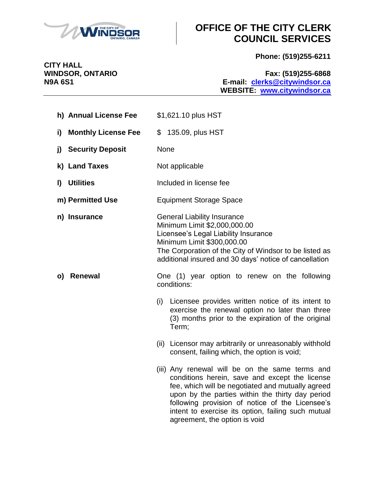

# **OFFICE OF THE CITY CLERK COUNCIL SERVICES**

**Phone: (519)255-6211**

**WINDSOR, ONTARIO Fax: (519)255-6868 N9A 6S1 E-mail: [clerks@citywindsor.ca](mailto:clerks@citywindsor.ca) WEBSITE: [www.citywindsor.ca](http://www.citywindsor.ca/)**

| h) Annual License Fee            | \$1,621.10 plus HST                                                                                                                                                                                                                                                                                                                                                                                                                                                                                                                                                                                                                                                                                      |
|----------------------------------|----------------------------------------------------------------------------------------------------------------------------------------------------------------------------------------------------------------------------------------------------------------------------------------------------------------------------------------------------------------------------------------------------------------------------------------------------------------------------------------------------------------------------------------------------------------------------------------------------------------------------------------------------------------------------------------------------------|
| <b>Monthly License Fee</b><br>i) | \$<br>135.09, plus HST                                                                                                                                                                                                                                                                                                                                                                                                                                                                                                                                                                                                                                                                                   |
| <b>Security Deposit</b><br>j)    | None                                                                                                                                                                                                                                                                                                                                                                                                                                                                                                                                                                                                                                                                                                     |
| k) Land Taxes                    | Not applicable                                                                                                                                                                                                                                                                                                                                                                                                                                                                                                                                                                                                                                                                                           |
| <b>Utilities</b><br>$\mathbf{I}$ | Included in license fee                                                                                                                                                                                                                                                                                                                                                                                                                                                                                                                                                                                                                                                                                  |
| m) Permitted Use                 | <b>Equipment Storage Space</b>                                                                                                                                                                                                                                                                                                                                                                                                                                                                                                                                                                                                                                                                           |
| n) Insurance                     | <b>General Liability Insurance</b><br>Minimum Limit \$2,000,000.00<br>Licensee's Legal Liability Insurance<br>Minimum Limit \$300,000.00<br>The Corporation of the City of Windsor to be listed as<br>additional insured and 30 days' notice of cancellation                                                                                                                                                                                                                                                                                                                                                                                                                                             |
| Renewal<br>O)                    | One (1) year option to renew on the following<br>conditions:<br>(i) Licensee provides written notice of its intent to<br>exercise the renewal option no later than three<br>(3) months prior to the expiration of the original<br>Term;<br>(ii) Licensor may arbitrarily or unreasonably withhold<br>consent, failing which, the option is void;<br>(iii) Any renewal will be on the same terms and<br>conditions herein, save and except the license<br>fee, which will be negotiated and mutually agreed<br>upon by the parties within the thirty day period<br>following provision of notice of the Licensee's<br>intent to exercise its option, failing such mutual<br>agreement, the option is void |

**CITY HALL<br>WINDSOR, ONTARIO**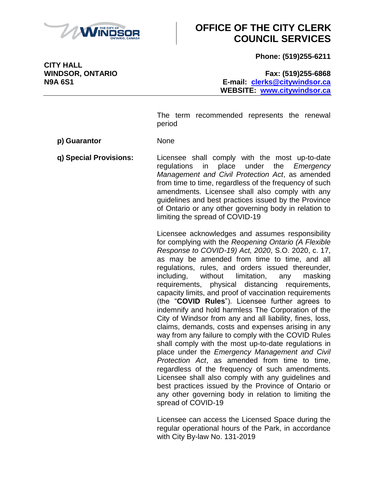

# **OFFICE OF THE CITY CLERK COUNCIL SERVICES**

**Phone: (519)255-6211**

**WINDSOR, ONTARIO Fax: (519)255-6868 N9A 6S1 E-mail: [clerks@citywindsor.ca](mailto:clerks@citywindsor.ca) WEBSITE: [www.citywindsor.ca](http://www.citywindsor.ca/)**

> The term recommended represents the renewal period

**p) Guarantor** None

**q) Special Provisions:** Licensee shall comply with the most up-to-date regulations in place under the *Emergency Management and Civil Protection Act*, as amended from time to time, regardless of the frequency of such amendments. Licensee shall also comply with any guidelines and best practices issued by the Province of Ontario or any other governing body in relation to limiting the spread of COVID-19

> Licensee acknowledges and assumes responsibility for complying with the *Reopening Ontario (A Flexible Response to COVID-19) Act, 2020*, S.O. 2020, c. 17, as may be amended from time to time, and all regulations, rules, and orders issued thereunder, including, without limitation, any masking requirements, physical distancing requirements, capacity limits, and proof of vaccination requirements (the "**COVID Rules**"). Licensee further agrees to indemnify and hold harmless The Corporation of the City of Windsor from any and all liability, fines, loss, claims, demands, costs and expenses arising in any way from any failure to comply with the COVID Rules shall comply with the most up-to-date regulations in place under the *Emergency Management and Civil Protection Act*, as amended from time to time, regardless of the frequency of such amendments. Licensee shall also comply with any guidelines and best practices issued by the Province of Ontario or any other governing body in relation to limiting the spread of COVID-19

> Licensee can access the Licensed Space during the regular operational hours of the Park, in accordance with City By-law No. 131-2019

**CITY HALL**